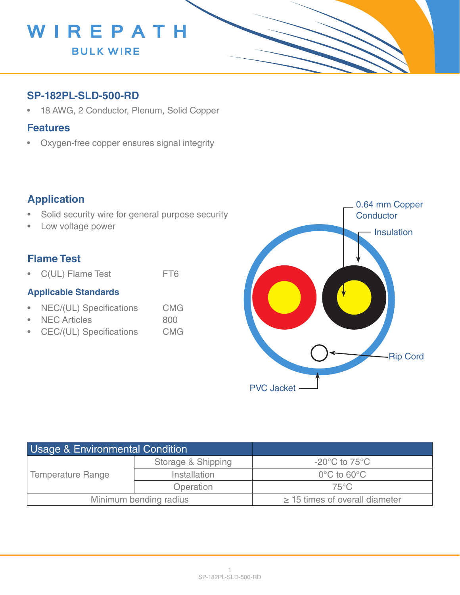

## **SP-182PL-SLD-500-RD**

• 18 AWG, 2 Conductor, Plenum, Solid Copper

#### **Features**

• Oxygen-free copper ensures signal integrity

## **Application**

- Solid security wire for general purpose security
- Low voltage power

## **Flame Test**

• C(UL) Flame Test FT6

#### **Applicable Standards**

- NEC/(UL) Specifications CMG
- NEC Articles 800
- CEC/(UL) Specifications CMG



| <b>Usage &amp; Environmental Condition</b> |                    |                                     |
|--------------------------------------------|--------------------|-------------------------------------|
| <b>Temperature Range</b>                   | Storage & Shipping | $-20^{\circ}$ C to 75 $^{\circ}$ C  |
|                                            | Installation       | $0^{\circ}$ C to 60 $^{\circ}$ C    |
|                                            | Operation          | $75^{\circ}$ C                      |
| Minimum bending radius                     |                    | $\geq$ 15 times of overall diameter |